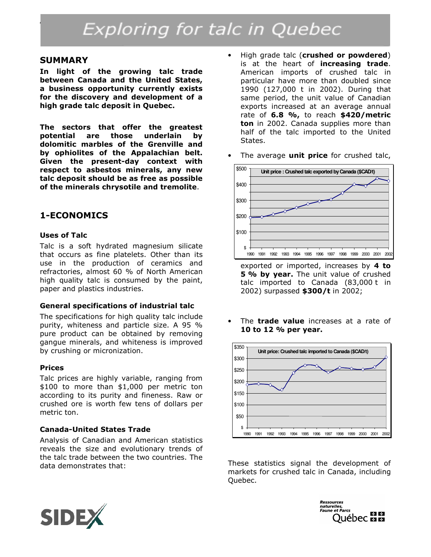# Exploring for talc in Quebec

#### SUMMARY

In light of the growing talc trade between Canada and the United States, a business opportunity currently exists for the discovery and development of a high grade talc deposit in Quebec.

The sectors that offer the greatest potential are those underlain by dolomitic marbles of the Grenville and by ophiolites of the Appalachian belt. Given the present-day context with respect to asbestos minerals, any new talc deposit should be as free as possible of the minerals chrysotile and tremolite.

### 1-ECONOMICS

#### Uses of Talc

Talc is a soft hydrated magnesium silicate that occurs as fine platelets. Other than its use in the production of ceramics and refractories, almost 60 % of North American high quality talc is consumed by the paint, paper and plastics industries.

#### General specifications of industrial talc

The specifications for high quality talc include purity, whiteness and particle size. A 95 % pure product can be obtained by removing gangue minerals, and whiteness is improved by crushing or micronization.

#### Prices

Talc prices are highly variable, ranging from \$100 to more than \$1,000 per metric ton according to its purity and fineness. Raw or crushed ore is worth few tens of dollars per metric ton.

#### Canada-United States Trade

Analysis of Canadian and American statistics reveals the size and evolutionary trends of the talc trade between the two countries. The data demonstrates that:

- High grade talc (crushed or powdered) is at the heart of increasing trade. American imports of crushed talc in particular have more than doubled since 1990 (127,000 t in 2002). During that same period, the unit value of Canadian exports increased at an average annual rate of 6.8 %, to reach \$420/metric ton in 2002. Canada supplies more than half of the talc imported to the United States.
- The average **unit price** for crushed talc,



exported or imported, increases by 4 to 5 % by year. The unit value of crushed talc imported to Canada (83,000 t in 2002) surpassed \$300/t in 2002;

The **trade value** increases at a rate of 10 to 12 % per year.



These statistics signal the development of markets for crushed talc in Canada, including Quebec.



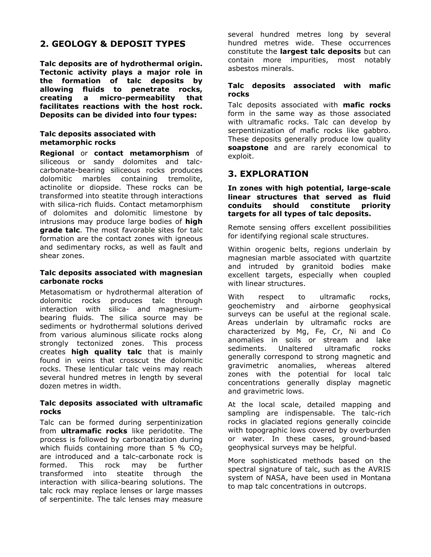# 2. GEOLOGY & DEPOSIT TYPES

Talc deposits are of hydrothermal origin. Tectonic activity plays a major role in the formation of talc deposits by allowing fluids to penetrate rocks, creating a micro-permeability that facilitates reactions with the host rock. Deposits can be divided into four types:

#### Talc deposits associated with metamorphic rocks

Regional or contact metamorphism of siliceous or sandy dolomites and talccarbonate-bearing siliceous rocks produces dolomitic marbles containing tremolite, actinolite or diopside. These rocks can be transformed into steatite through interactions with silica-rich fluids. Contact metamorphism of dolomites and dolomitic limestone by intrusions may produce large bodies of high **grade talc.** The most favorable sites for talc formation are the contact zones with igneous and sedimentary rocks, as well as fault and shear zones.

#### Talc deposits associated with magnesian carbonate rocks

Metasomatism or hydrothermal alteration of dolomitic rocks produces talc through interaction with silica- and magnesiumbearing fluids. The silica source may be sediments or hydrothermal solutions derived from various aluminous silicate rocks along strongly tectonized zones. This process creates high quality talc that is mainly found in veins that crosscut the dolomitic rocks. These lenticular talc veins may reach several hundred metres in length by several dozen metres in width.

#### Talc deposits associated with ultramafic rocks

Talc can be formed during serpentinization from **ultramafic rocks** like peridotite. The process is followed by carbonatization during which fluids containing more than 5 %  $CO<sub>2</sub>$ are introduced and a talc-carbonate rock is formed. This rock may be further transformed into steatite through the interaction with silica-bearing solutions. The talc rock may replace lenses or large masses of serpentinite. The talc lenses may measure

several hundred metres long by several hundred metres wide. These occurrences constitute the largest talc deposits but can contain more impurities, most notably asbestos minerals.

#### Talc deposits associated with mafic rocks

Talc deposits associated with mafic rocks form in the same way as those associated with ultramafic rocks. Talc can develop by serpentinization of mafic rocks like gabbro. These deposits generally produce low quality soapstone and are rarely economical to exploit.

## 3. EXPLORATION

In zones with high potential, large-scale linear structures that served as fluid conduits should constitute priority targets for all types of talc deposits.

Remote sensing offers excellent possibilities for identifying regional scale structures.

Within orogenic belts, regions underlain by magnesian marble associated with quartzite and intruded by granitoid bodies make excellent targets, especially when coupled with linear structures.

With respect to ultramafic rocks, geochemistry and airborne geophysical surveys can be useful at the regional scale. Areas underlain by ultramafic rocks are characterized by Mg, Fe, Cr, Ni and Co anomalies in soils or stream and lake sediments. Unaltered ultramafic rocks generally correspond to strong magnetic and gravimetric anomalies, whereas altered zones with the potential for local talc concentrations generally display magnetic and gravimetric lows.

At the local scale, detailed mapping and sampling are indispensable. The talc-rich rocks in glaciated regions generally coincide with topographic lows covered by overburden or water. In these cases, ground-based geophysical surveys may be helpful.

More sophisticated methods based on the spectral signature of talc, such as the AVRIS system of NASA, have been used in Montana to map talc concentrations in outcrops.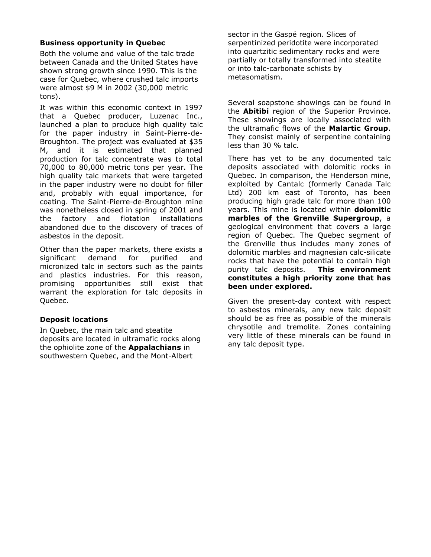#### Business opportunity in Quebec

Both the volume and value of the talc trade between Canada and the United States have shown strong growth since 1990. This is the case for Quebec, where crushed talc imports were almost \$9 M in 2002 (30,000 metric tons).

It was within this economic context in 1997 that a Quebec producer, Luzenac Inc., launched a plan to produce high quality talc for the paper industry in Saint-Pierre-de-Broughton. The project was evaluated at \$35 M, and it is estimated that planned production for talc concentrate was to total 70,000 to 80,000 metric tons per year. The high quality talc markets that were targeted in the paper industry were no doubt for filler and, probably with equal importance, for coating. The Saint-Pierre-de-Broughton mine was nonetheless closed in spring of 2001 and the factory and flotation installations abandoned due to the discovery of traces of asbestos in the deposit.

Other than the paper markets, there exists a significant demand for purified and micronized talc in sectors such as the paints and plastics industries. For this reason, promising opportunities still exist that warrant the exploration for talc deposits in Quebec.

#### Deposit locations

In Quebec, the main talc and steatite deposits are located in ultramafic rocks along the ophiolite zone of the **Appalachians** in southwestern Quebec, and the Mont-Albert

sector in the Gaspé region. Slices of serpentinized peridotite were incorporated into quartzitic sedimentary rocks and were partially or totally transformed into steatite or into talc-carbonate schists by metasomatism.

Several soapstone showings can be found in the **Abitibi** region of the Superior Province. These showings are locally associated with the ultramafic flows of the **Malartic Group**. They consist mainly of serpentine containing less than 30 % talc.

There has yet to be any documented talc deposits associated with dolomitic rocks in Quebec. In comparison, the Henderson mine, exploited by Cantalc (formerly Canada Talc Ltd) 200 km east of Toronto, has been producing high grade talc for more than 100 years. This mine is located within **dolomitic** marbles of the Grenville Supergroup, a geological environment that covers a large region of Quebec. The Quebec segment of the Grenville thus includes many zones of dolomitic marbles and magnesian calc-silicate rocks that have the potential to contain high purity talc deposits. This environment constitutes a high priority zone that has been under explored.

Given the present-day context with respect to asbestos minerals, any new talc deposit should be as free as possible of the minerals chrysotile and tremolite. Zones containing very little of these minerals can be found in any talc deposit type.